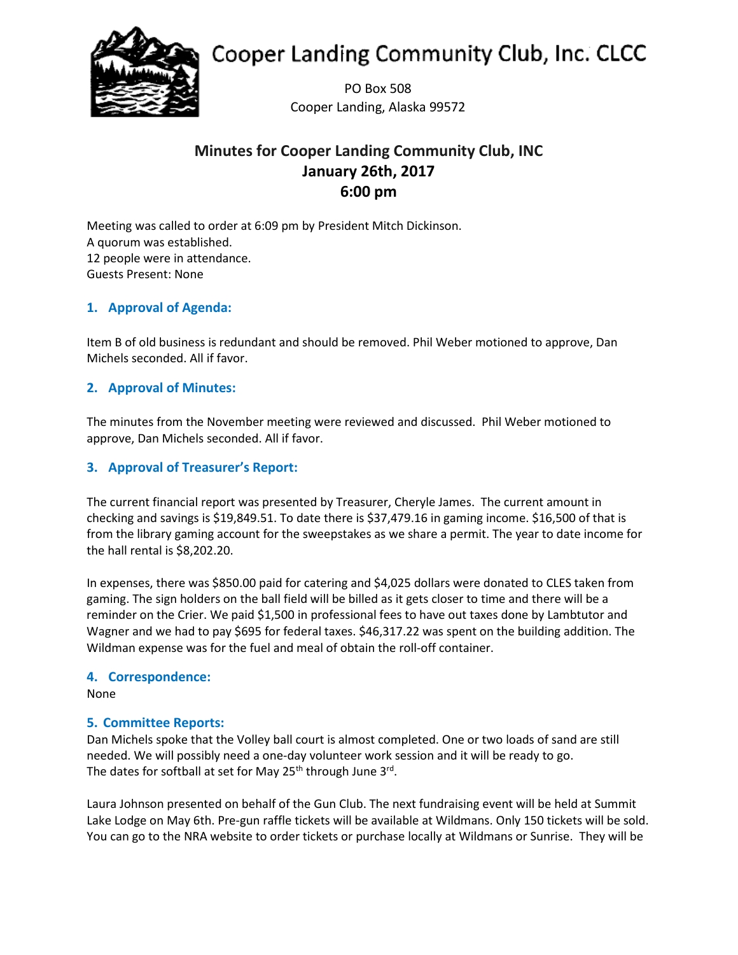

# **Cooper Landing Community Club, Inc. CLCC**

PO Box 508 Cooper Landing, Alaska 99572

## **Minutes for Cooper Landing Community Club, INC January 26th, 2017 6:00 pm**

Meeting was called to order at 6:09 pm by President Mitch Dickinson. A quorum was established. 12 people were in attendance. Guests Present: None

## **1. Approval of Agenda:**

Item B of old business is redundant and should be removed. Phil Weber motioned to approve, Dan Michels seconded. All if favor.

## **2. Approval of Minutes:**

The minutes from the November meeting were reviewed and discussed. Phil Weber motioned to approve, Dan Michels seconded. All if favor.

## **3. Approval of Treasurer's Report:**

The current financial report was presented by Treasurer, Cheryle James. The current amount in checking and savings is \$19,849.51. To date there is \$37,479.16 in gaming income. \$16,500 of that is from the library gaming account for the sweepstakes as we share a permit. The year to date income for the hall rental is \$8,202.20.

In expenses, there was \$850.00 paid for catering and \$4,025 dollars were donated to CLES taken from gaming. The sign holders on the ball field will be billed as it gets closer to time and there will be a reminder on the Crier. We paid \$1,500 in professional fees to have out taxes done by Lambtutor and Wagner and we had to pay \$695 for federal taxes. \$46,317.22 was spent on the building addition. The Wildman expense was for the fuel and meal of obtain the roll-off container.

## **4. Correspondence:**

None

## **5. Committee Reports:**

Dan Michels spoke that the Volley ball court is almost completed. One or two loads of sand are still needed. We will possibly need a one-day volunteer work session and it will be ready to go. The dates for softball at set for May 25<sup>th</sup> through June 3<sup>rd</sup>.

Laura Johnson presented on behalf of the Gun Club. The next fundraising event will be held at Summit Lake Lodge on May 6th. Pre-gun raffle tickets will be available at Wildmans. Only 150 tickets will be sold. You can go to the NRA website to order tickets or purchase locally at Wildmans or Sunrise. They will be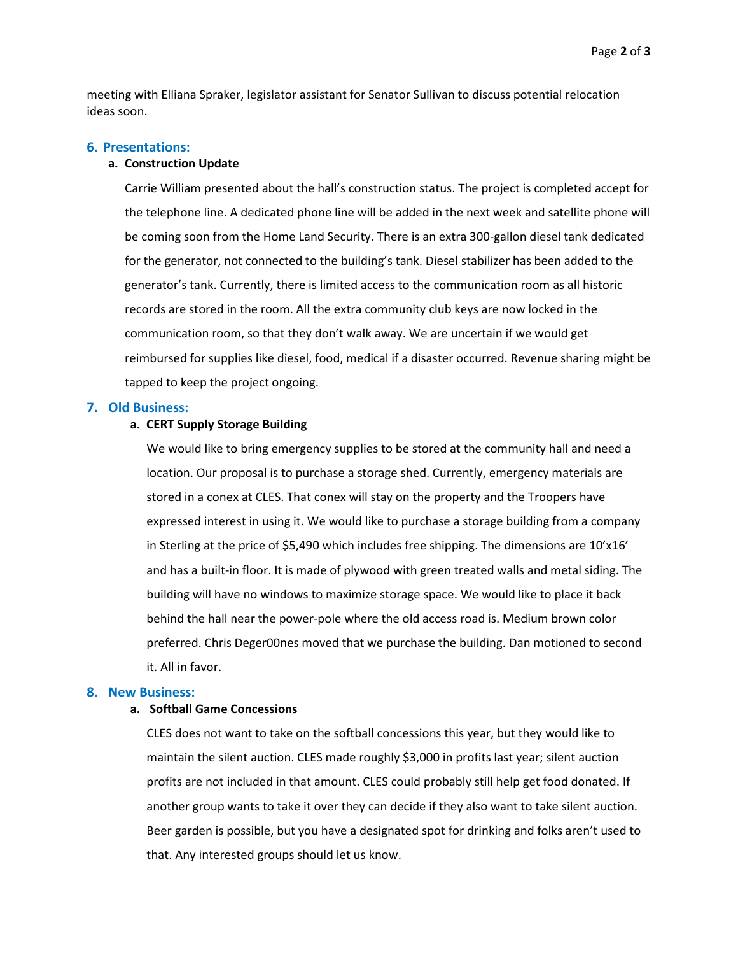Page **2** of **3**

meeting with Elliana Spraker, legislator assistant for Senator Sullivan to discuss potential relocation ideas soon.

#### **6. Presentations:**

#### **a. Construction Update**

Carrie William presented about the hall's construction status. The project is completed accept for the telephone line. A dedicated phone line will be added in the next week and satellite phone will be coming soon from the Home Land Security. There is an extra 300-gallon diesel tank dedicated for the generator, not connected to the building's tank. Diesel stabilizer has been added to the generator's tank. Currently, there is limited access to the communication room as all historic records are stored in the room. All the extra community club keys are now locked in the communication room, so that they don't walk away. We are uncertain if we would get reimbursed for supplies like diesel, food, medical if a disaster occurred. Revenue sharing might be tapped to keep the project ongoing.

#### **7. Old Business:**

#### **a. CERT Supply Storage Building**

We would like to bring emergency supplies to be stored at the community hall and need a location. Our proposal is to purchase a storage shed. Currently, emergency materials are stored in a conex at CLES. That conex will stay on the property and the Troopers have expressed interest in using it. We would like to purchase a storage building from a company in Sterling at the price of \$5,490 which includes free shipping. The dimensions are 10'x16' and has a built-in floor. It is made of plywood with green treated walls and metal siding. The building will have no windows to maximize storage space. We would like to place it back behind the hall near the power-pole where the old access road is. Medium brown color preferred. Chris Deger00nes moved that we purchase the building. Dan motioned to second it. All in favor.

#### **8. New Business:**

#### **a. Softball Game Concessions**

CLES does not want to take on the softball concessions this year, but they would like to maintain the silent auction. CLES made roughly \$3,000 in profits last year; silent auction profits are not included in that amount. CLES could probably still help get food donated. If another group wants to take it over they can decide if they also want to take silent auction. Beer garden is possible, but you have a designated spot for drinking and folks aren't used to that. Any interested groups should let us know.